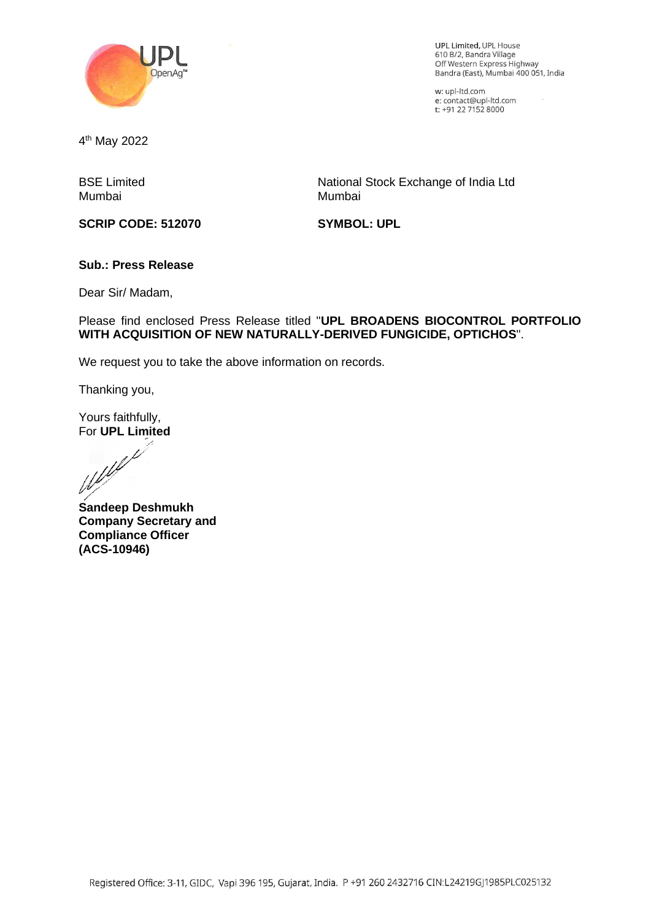

UPL Limited, UPL House 610 8/2, Sandra Village Off Western Express Highway Bandra (East), Mumbai 400 051, India

w: upl-ltd.com e: contact@upl-ltd.com t: +91 22 7152 8000

4 th May 2022

BSE Limited Mumbai

**SCRIP CODE: 512070**

National Stock Exchange of India Ltd Mumbai

**SYMBOL: UPL**

## **Sub.: Press Release**

Dear Sir/ Madam,

Please find enclosed Press Release titled "**UPL BROADENS BIOCONTROL PORTFOLIO WITH ACQUISITION OF NEW NATURALLY-DERIVED FUNGICIDE, OPTICHOS**".

We request you to take the above information on records.

Thanking you,

Yours faithfully,

For **UPL Limited**<br>Weblet

**Sandeep Deshmukh Company Secretary and Compliance Officer (ACS-10946)**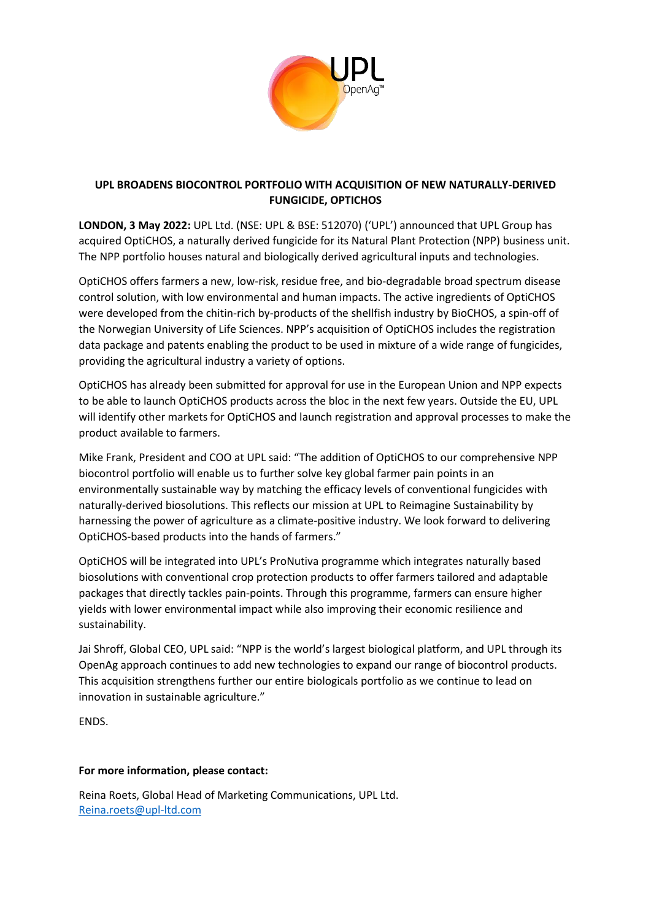

# **UPL BROADENS BIOCONTROL PORTFOLIO WITH ACQUISITION OF NEW NATURALLY-DERIVED FUNGICIDE, OPTICHOS**

**LONDON, 3 May 2022:** UPL Ltd. (NSE: UPL & BSE: 512070) ('UPL') announced that UPL Group has acquired OptiCHOS, a naturally derived fungicide for its Natural Plant Protection (NPP) business unit. The NPP portfolio houses natural and biologically derived agricultural inputs and technologies.

OptiCHOS offers farmers a new, low-risk, residue free, and bio-degradable broad spectrum disease control solution, with low environmental and human impacts. The active ingredients of OptiCHOS were developed from the chitin-rich by-products of the shellfish industry by BioCHOS, a spin-off of the Norwegian University of Life Sciences. NPP's acquisition of OptiCHOS includes the registration data package and patents enabling the product to be used in mixture of a wide range of fungicides, providing the agricultural industry a variety of options.

OptiCHOS has already been submitted for approval for use in the European Union and NPP expects to be able to launch OptiCHOS products across the bloc in the next few years. Outside the EU, UPL will identify other markets for OptiCHOS and launch registration and approval processes to make the product available to farmers.

Mike Frank, President and COO at UPL said: "The addition of OptiCHOS to our comprehensive NPP biocontrol portfolio will enable us to further solve key global farmer pain points in an environmentally sustainable way by matching the efficacy levels of conventional fungicides with naturally-derived biosolutions. This reflects our mission at UPL to Reimagine Sustainability by harnessing the power of agriculture as a climate-positive industry. We look forward to delivering OptiCHOS-based products into the hands of farmers."

OptiCHOS will be integrated into UPL's ProNutiva programme which integrates naturally based biosolutions with conventional crop protection products to offer farmers tailored and adaptable packages that directly tackles pain-points. Through this programme, farmers can ensure higher yields with lower environmental impact while also improving their economic resilience and sustainability.

Jai Shroff, Global CEO, UPL said: "NPP is the world's largest biological platform, and UPL through its OpenAg approach continues to add new technologies to expand our range of biocontrol products. This acquisition strengthens further our entire biologicals portfolio as we continue to lead on innovation in sustainable agriculture."

ENDS.

### **For more information, please contact:**

Reina Roets, Global Head of Marketing Communications, UPL Ltd. [Reina.roets@upl-ltd.com](mailto:Reina.roets@upl-ltd.com)